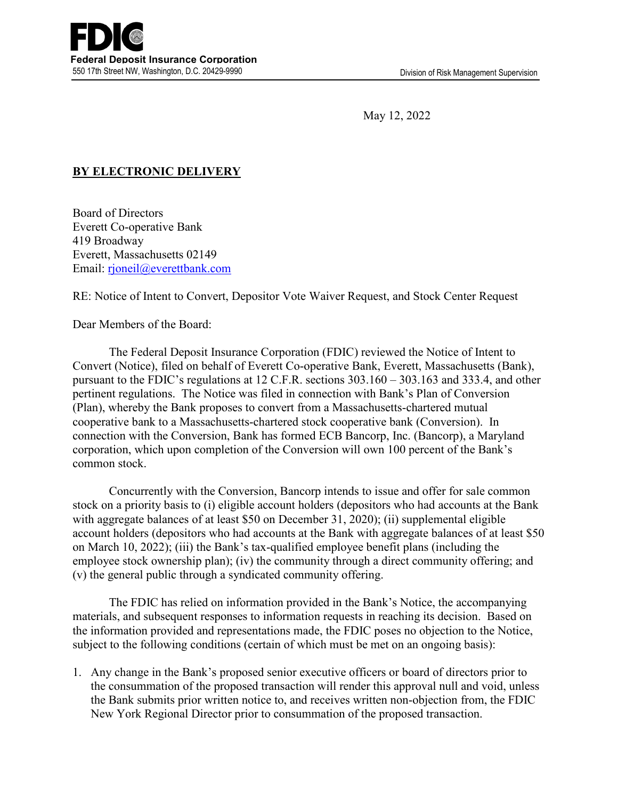May 12, 2022

## **BY ELECTRONIC DELIVERY**

Board of Directors Everett Co-operative Bank 419 Broadway Everett, Massachusetts 02149 Email: [rjoneil@everettbank.com](mailto:rjoneil@everettbank.com)

RE: Notice of Intent to Convert, Depositor Vote Waiver Request, and Stock Center Request

Dear Members of the Board:

 The Federal Deposit Insurance Corporation (FDIC) reviewed the Notice of Intent to Convert (Notice), filed on behalf of Everett Co-operative Bank, Everett, Massachusetts (Bank), pursuant to the FDIC's regulations at 12 C.F.R. sections 303.160 – 303.163 and 333.4, and other pertinent regulations. The Notice was filed in connection with Bank's Plan of Conversion (Plan), whereby the Bank proposes to convert from a Massachusetts-chartered mutual cooperative bank to a Massachusetts-chartered stock cooperative bank (Conversion). In connection with the Conversion, Bank has formed ECB Bancorp, Inc. (Bancorp), a Maryland corporation, which upon completion of the Conversion will own 100 percent of the Bank's common stock.

 Concurrently with the Conversion, Bancorp intends to issue and offer for sale common stock on a priority basis to (i) eligible account holders (depositors who had accounts at the Bank with aggregate balances of at least \$50 on December 31, 2020); (ii) supplemental eligible account holders (depositors who had accounts at the Bank with aggregate balances of at least \$50 on March 10, 2022); (iii) the Bank's tax-qualified employee benefit plans (including the employee stock ownership plan); (iv) the community through a direct community offering; and (v) the general public through a syndicated community offering.

 The FDIC has relied on information provided in the Bank's Notice, the accompanying materials, and subsequent responses to information requests in reaching its decision. Based on the information provided and representations made, the FDIC poses no objection to the Notice, subject to the following conditions (certain of which must be met on an ongoing basis):

1. Any change in the Bank's proposed senior executive officers or board of directors prior to the consummation of the proposed transaction will render this approval null and void, unless the Bank submits prior written notice to, and receives written non-objection from, the FDIC New York Regional Director prior to consummation of the proposed transaction.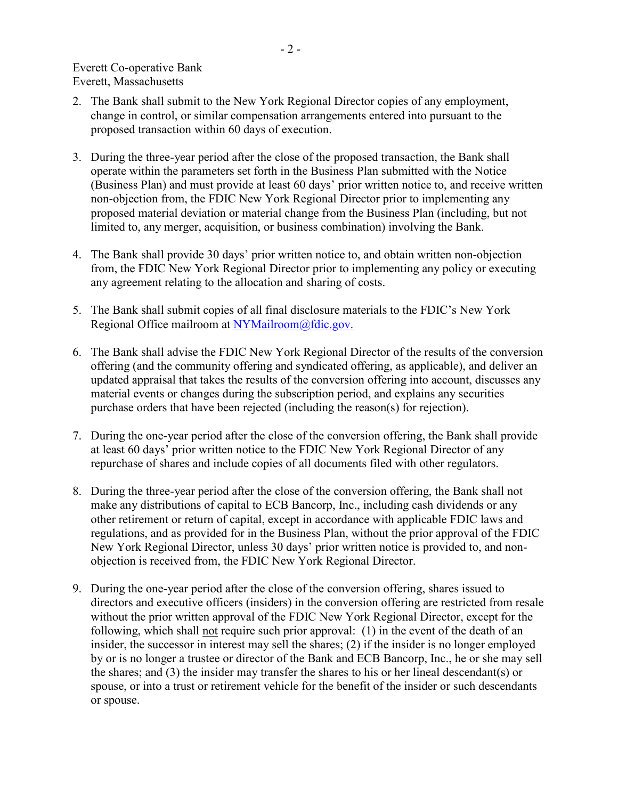- 2. The Bank shall submit to the New York Regional Director copies of any employment, change in control, or similar compensation arrangements entered into pursuant to the proposed transaction within 60 days of execution.
- 3. During the three-year period after the close of the proposed transaction, the Bank shall operate within the parameters set forth in the Business Plan submitted with the Notice (Business Plan) and must provide at least 60 days' prior written notice to, and receive written non-objection from, the FDIC New York Regional Director prior to implementing any proposed material deviation or material change from the Business Plan (including, but not limited to, any merger, acquisition, or business combination) involving the Bank.
- 4. The Bank shall provide 30 days' prior written notice to, and obtain written non-objection from, the FDIC New York Regional Director prior to implementing any policy or executing any agreement relating to the allocation and sharing of costs.
- 5. The Bank shall submit copies of all final disclosure materials to the FDIC's New York Regional Office mailroom at [NYMailroom@fdic.gov.](mailto:NYMailroom@fdic.gov)
- 6. The Bank shall advise the FDIC New York Regional Director of the results of the conversion offering (and the community offering and syndicated offering, as applicable), and deliver an updated appraisal that takes the results of the conversion offering into account, discusses any material events or changes during the subscription period, and explains any securities purchase orders that have been rejected (including the reason(s) for rejection).
- 7. During the one-year period after the close of the conversion offering, the Bank shall provide at least 60 days' prior written notice to the FDIC New York Regional Director of any repurchase of shares and include copies of all documents filed with other regulators.
- 8. During the three-year period after the close of the conversion offering, the Bank shall not make any distributions of capital to ECB Bancorp, Inc., including cash dividends or any other retirement or return of capital, except in accordance with applicable FDIC laws and regulations, and as provided for in the Business Plan, without the prior approval of the FDIC New York Regional Director, unless 30 days' prior written notice is provided to, and nonobjection is received from, the FDIC New York Regional Director.
- 9. During the one-year period after the close of the conversion offering, shares issued to directors and executive officers (insiders) in the conversion offering are restricted from resale without the prior written approval of the FDIC New York Regional Director, except for the following, which shall not require such prior approval: (1) in the event of the death of an insider, the successor in interest may sell the shares; (2) if the insider is no longer employed by or is no longer a trustee or director of the Bank and ECB Bancorp, Inc., he or she may sell the shares; and (3) the insider may transfer the shares to his or her lineal descendant(s) or spouse, or into a trust or retirement vehicle for the benefit of the insider or such descendants or spouse.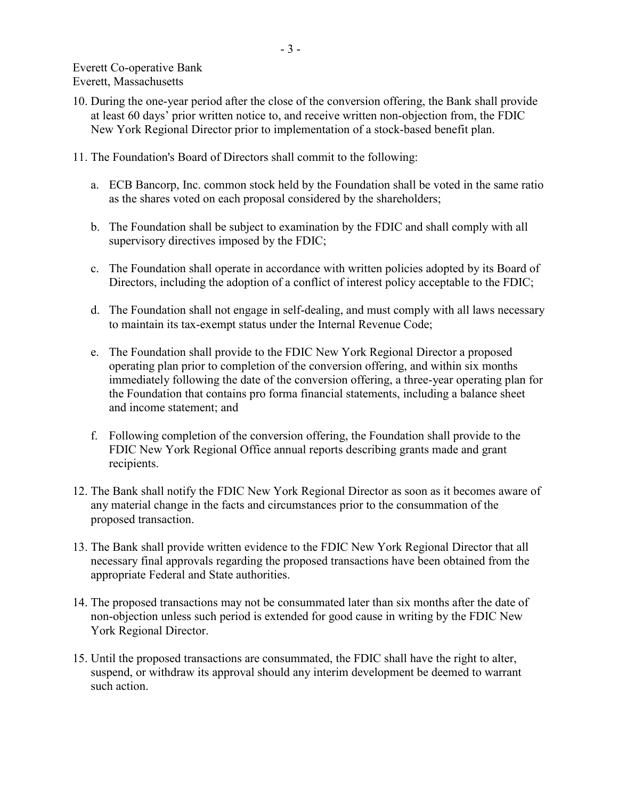Everett Co-operative Bank Everett, Massachusetts

- 10. During the one-year period after the close of the conversion offering, the Bank shall provide at least 60 days' prior written notice to, and receive written non-objection from, the FDIC New York Regional Director prior to implementation of a stock-based benefit plan.
- 11. The Foundation's Board of Directors shall commit to the following:
	- a. ECB Bancorp, Inc. common stock held by the Foundation shall be voted in the same ratio as the shares voted on each proposal considered by the shareholders;
	- b. The Foundation shall be subject to examination by the FDIC and shall comply with all supervisory directives imposed by the FDIC;
	- c. The Foundation shall operate in accordance with written policies adopted by its Board of Directors, including the adoption of a conflict of interest policy acceptable to the FDIC;
	- d. The Foundation shall not engage in self-dealing, and must comply with all laws necessary to maintain its tax-exempt status under the Internal Revenue Code;
	- e. The Foundation shall provide to the FDIC New York Regional Director a proposed operating plan prior to completion of the conversion offering, and within six months immediately following the date of the conversion offering, a three-year operating plan for the Foundation that contains pro forma financial statements, including a balance sheet and income statement; and
	- f. Following completion of the conversion offering, the Foundation shall provide to the FDIC New York Regional Office annual reports describing grants made and grant recipients.
- 12. The Bank shall notify the FDIC New York Regional Director as soon as it becomes aware of any material change in the facts and circumstances prior to the consummation of the proposed transaction.
- 13. The Bank shall provide written evidence to the FDIC New York Regional Director that all necessary final approvals regarding the proposed transactions have been obtained from the appropriate Federal and State authorities.
- 14. The proposed transactions may not be consummated later than six months after the date of non-objection unless such period is extended for good cause in writing by the FDIC New York Regional Director.
- 15. Until the proposed transactions are consummated, the FDIC shall have the right to alter, suspend, or withdraw its approval should any interim development be deemed to warrant such action.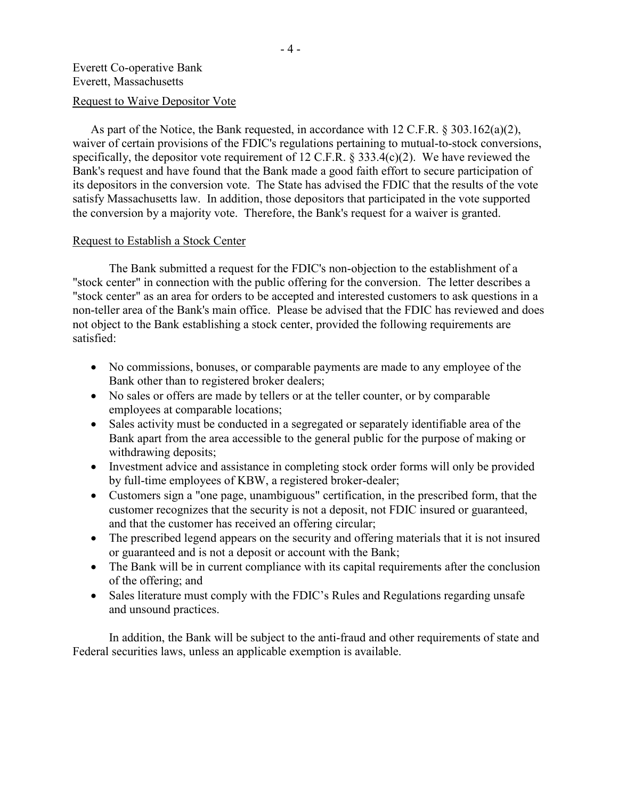## Everett Co-operative Bank Everett, Massachusetts

## Request to Waive Depositor Vote

As part of the Notice, the Bank requested, in accordance with 12 C.F.R. § 303.162(a)(2), waiver of certain provisions of the FDIC's regulations pertaining to mutual-to-stock conversions, specifically, the depositor vote requirement of 12 C.F.R. § 333.4(c)(2). We have reviewed the Bank's request and have found that the Bank made a good faith effort to secure participation of its depositors in the conversion vote. The State has advised the FDIC that the results of the vote satisfy Massachusetts law. In addition, those depositors that participated in the vote supported the conversion by a majority vote. Therefore, the Bank's request for a waiver is granted.

## Request to Establish a Stock Center

 The Bank submitted a request for the FDIC's non-objection to the establishment of a "stock center" in connection with the public offering for the conversion. The letter describes a "stock center" as an area for orders to be accepted and interested customers to ask questions in a non-teller area of the Bank's main office. Please be advised that the FDIC has reviewed and does not object to the Bank establishing a stock center, provided the following requirements are satisfied:

- No commissions, bonuses, or comparable payments are made to any employee of the Bank other than to registered broker dealers;
- No sales or offers are made by tellers or at the teller counter, or by comparable employees at comparable locations;
- Sales activity must be conducted in a segregated or separately identifiable area of the Bank apart from the area accessible to the general public for the purpose of making or withdrawing deposits;
- Investment advice and assistance in completing stock order forms will only be provided by full-time employees of KBW, a registered broker-dealer;
- Customers sign a "one page, unambiguous" certification, in the prescribed form, that the customer recognizes that the security is not a deposit, not FDIC insured or guaranteed, and that the customer has received an offering circular;
- The prescribed legend appears on the security and offering materials that it is not insured or guaranteed and is not a deposit or account with the Bank;
- The Bank will be in current compliance with its capital requirements after the conclusion of the offering; and
- Sales literature must comply with the FDIC's Rules and Regulations regarding unsafe and unsound practices.

 In addition, the Bank will be subject to the anti-fraud and other requirements of state and Federal securities laws, unless an applicable exemption is available.